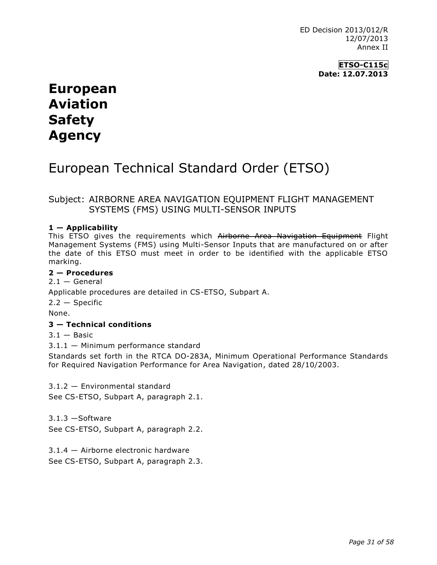ED Decision 2013/012/R 12/07/2013 Annex II

> **ETSO-C115c Date: 12.07.2013**

# **European Aviation Safety Agency**

# European Technical Standard Order (ETSO)

# Subject: AIRBORNE AREA NAVIGATION EQUIPMENT FLIGHT MANAGEMENT SYSTEMS (FMS) USING MULTI-SENSOR INPUTS

## **1 — Applicability**

This ETSO gives the requirements which Airborne Area Navigation Equipment Flight Management Systems (FMS) using Multi-Sensor Inputs that are manufactured on or after the date of this ETSO must meet in order to be identified with the applicable ETSO marking.

#### **2 — Procedures**

 $2.1 -$  General Applicable procedures are detailed in CS-ETSO, Subpart A.

2.2 — Specific

None.

### **3 — Technical conditions**

 $3.1 -$ Basic

3.1.1 — Minimum performance standard

Standards set forth in the RTCA DO-283A, Minimum Operational Performance Standards for Required Navigation Performance for Area Navigation, dated 28/10/2003.

3.1.2 — Environmental standard See CS-ETSO, Subpart A, paragraph 2.1.

3.1.3 —Software See CS-ETSO, Subpart A, paragraph 2.2.

3.1.4 — Airborne electronic hardware See CS-ETSO, Subpart A, paragraph 2.3.